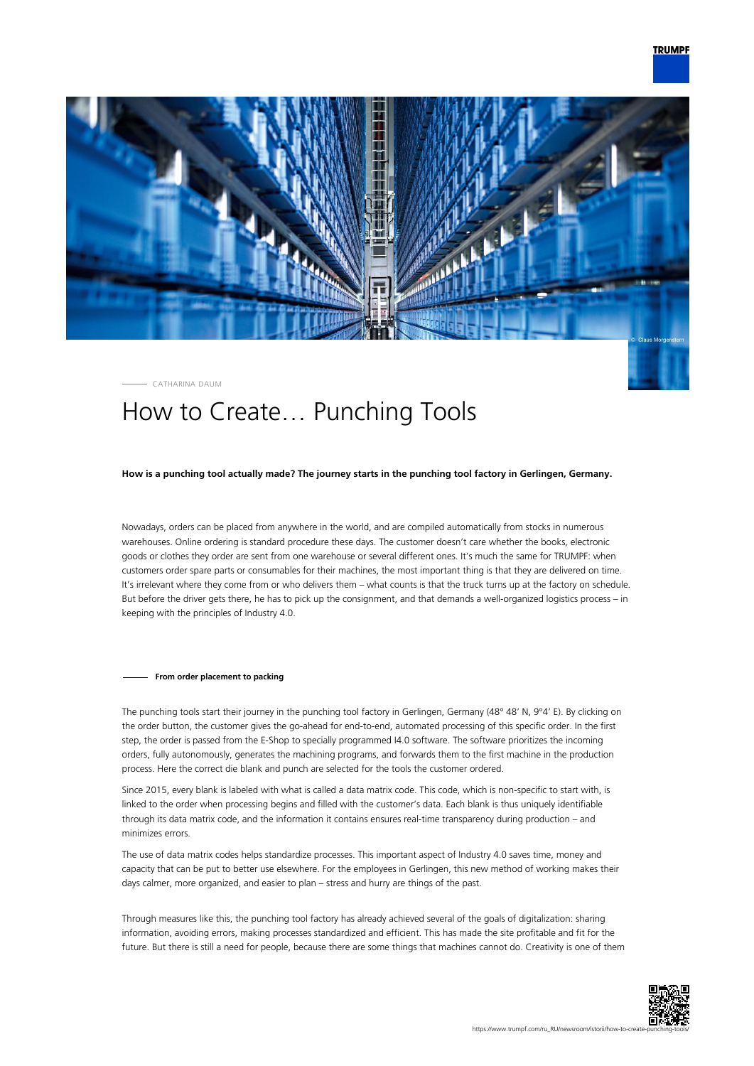

CATHARINA DAUM

## How to Create… Punching Tools

## **How is a punching tool actually made? The journey starts in the punching tool factory in Gerlingen, Germany.**

Nowadays, orders can be placed from anywhere in the world, and are compiled automatically from stocks in numerous warehouses. Online ordering is standard procedure these days. The customer doesn't care whether the books, electronic goods or clothes they order are sent from one warehouse or several different ones. It's much the same for TRUMPF: when customers order spare parts or consumables for their machines, the most important thing is that they are delivered on time. It's irrelevant where they come from or who delivers them – what counts is that the truck turns up at the factory on schedule. But before the driver gets there, he has to pick up the consignment, and that demands a well-organized logistics process – in keeping with the principles of Industry 4.0.

## **From order placement to packing**

The punching tools start their journey in the punching tool factory in Gerlingen, Germany (48° 48' N, 9°4' E). By clicking on the order button, the customer gives the go-ahead for end-to-end, automated processing of this specific order. In the first step, the order is passed from the E-Shop to specially programmed I4.0 software. The software prioritizes the incoming orders, fully autonomously, generates the machining programs, and forwards them to the first machine in the production process. Here the correct die blank and punch are selected for the tools the customer ordered.

Since 2015, every blank is labeled with what is called a data matrix code. This code, which is non-specific to start with, is linked to the order when processing begins and filled with the customer's data. Each blank is thus uniquely identifiable through its data matrix code, and the information it contains ensures real-time transparency during production – and minimizes errors.

The use of data matrix codes helps standardize processes. This important aspect of Industry 4.0 saves time, money and capacity that can be put to better use elsewhere. For the employees in Gerlingen, this new method of working makes their days calmer, more organized, and easier to plan – stress and hurry are things of the past.

Through measures like this, the punching tool factory has already achieved several of the goals of digitalization: sharing information, avoiding errors, making processes standardized and efficient. This has made the site profitable and fit for the future. But there is still a need for people, because there are some things that machines cannot do. Creativity is one of them

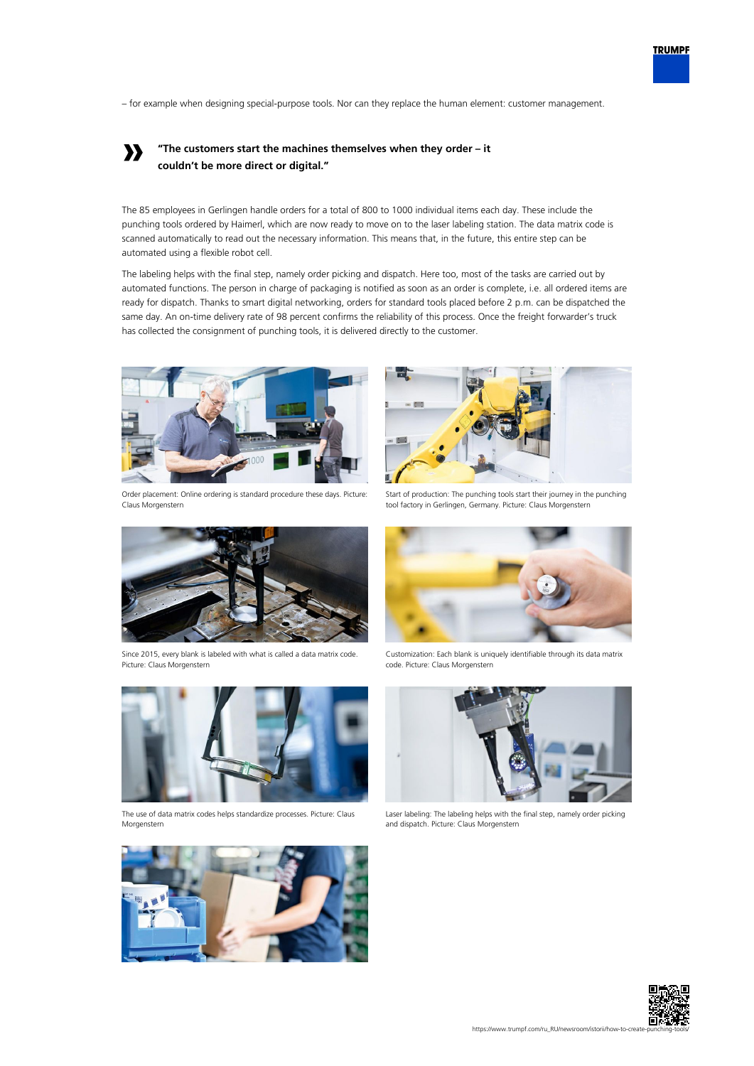– for example when designing special-purpose tools. Nor can they replace the human element: customer management.

## **» "The customers start the machines themselves when they order – it couldn't be more direct or digital."**

The 85 employees in Gerlingen handle orders for a total of 800 to 1000 individual items each day. These include the punching tools ordered by Haimerl, which are now ready to move on to the laser labeling station. The data matrix code is scanned automatically to read out the necessary information. This means that, in the future, this entire step can be automated using a flexible robot cell.

The labeling helps with the final step, namely order picking and dispatch. Here too, most of the tasks are carried out by automated functions. The person in charge of packaging is notified as soon as an order is complete, i.e. all ordered items are ready for dispatch. Thanks to smart digital networking, orders for standard tools placed before 2 p.m. can be dispatched the same day. An on-time delivery rate of 98 percent confirms the reliability of this process. Once the freight forwarder's truck has collected the consignment of punching tools, it is delivered directly to the customer.



Order placement: Online ordering is standard procedure these days. Picture: Claus Morgenstern



Start of production: The punching tools start their journey in the punching tool factory in Gerlingen, Germany. Picture: Claus Morgenstern



Since 2015, every blank is labeled with what is called a data matrix code. Picture: Claus Morgenstern



The use of data matrix codes helps standardize processes. Picture: Claus Morgenstern



Customization: Each blank is uniquely identifiable through its data matrix code. Picture: Claus Morgenstern



Laser labeling: The labeling helps with the final step, namely order picking and dispatch. Picture: Claus Morgenstern